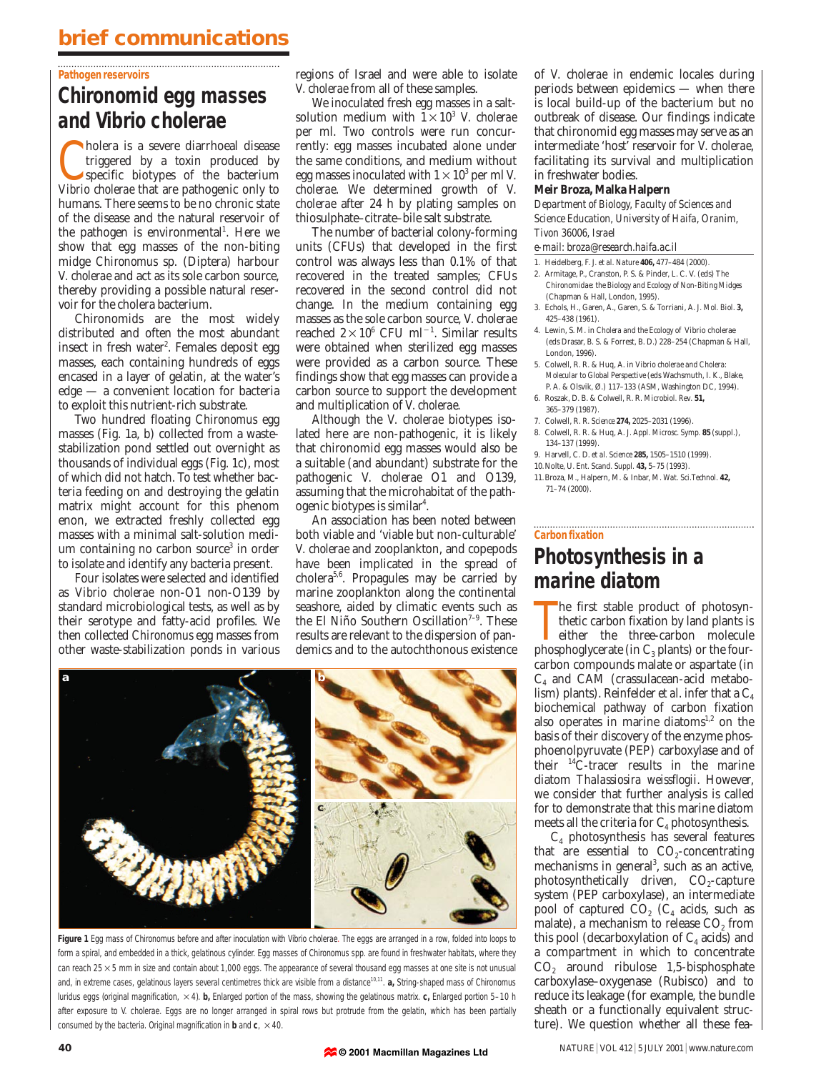## **brief communications**

#### **Pathogen reservoirs**

# **Chironomid egg masses and** *Vibrio cholerae*

**C** holera is a severe diarrhoeal disease<br>triggered by a toxin produced by<br>specific biotypes of the bacterium<br>Vibrio cholerae that are pathogenic only to holera is a severe diarrhoeal disease triggered by a toxin produced by specific biotypes of the bacterium humans. There seems to be no chronic state of the disease and the natural reservoir of the pathogen is environmental<sup>1</sup>. Here we show that egg masses of the non-biting midge *Chironomus* sp. (Diptera) harbour *V. cholerae* and act as its sole carbon source, thereby providing a possible natural reservoir for the cholera bacterium.

Chironomids are the most widely distributed and often the most abundant insect in fresh water<sup>2</sup>. Females deposit egg masses, each containing hundreds of eggs encased in a layer of gelatin, at the water's edge — a convenient location for bacteria to exploit this nutrient-rich substrate.

Two hundred floating *Chironomus* egg masses (Fig. 1a, b) collected from a wastestabilization pond settled out overnight as thousands of individual eggs (Fig. 1c), most of which did not hatch. To test whether bacteria feeding on and destroying the gelatin matrix might account for this phenom enon, we extracted freshly collected egg masses with a minimal salt-solution medium containing no carbon source<sup>3</sup> in order to isolate and identify any bacteria present.

Four isolates were selected and identified as *Vibrio cholerae* non-O1 non-O139 by standard microbiological tests, as well as by their serotype and fatty-acid profiles. We then collected *Chironomus* egg masses from other waste-stabilization ponds in various regions of Israel and were able to isolate *V. cholerae* from all of these samples.

We inoculated fresh egg masses in a saltsolution medium with  $1 \times 10^3$  *V. cholerae* per ml. Two controls were run concurrently: egg masses incubated alone under the same conditions, and medium without egg masses inoculated with  $1 \times 10^3$  per ml *V*. *cholerae*. We determined growth of *V. cholerae* after 24 h by plating samples on thiosulphate–citrate–bile salt substrate.

The number of bacterial colony-forming units (CFUs) that developed in the first control was always less than 0.1% of that recovered in the treated samples; CFUs recovered in the second control did not change. In the medium containing egg masses as the sole carbon source, *V. cholerae* reached  $2 \times 10^6$  CFU ml<sup>-1</sup>. Similar results were obtained when sterilized egg masses were provided as a carbon source. These findings show that egg masses can provide a carbon source to support the development and multiplication of *V. cholerae.*

Although the *V. cholerae* biotypes isolated here are non-pathogenic, it is likely that chironomid egg masses would also be a suitable (and abundant) substrate for the pathogenic *V. cholerae* O1 and O139, assuming that the microhabitat of the pathogenic biotypes is similar<sup>4</sup>.

An association has been noted between both viable and 'viable but non-culturable' *V. cholerae* and zooplankton, and copepods have been implicated in the spread of cholera<sup>5,6</sup>. Propagules may be carried by marine zooplankton along the continental seashore, aided by climatic events such as the El Niño Southern Oscillation<sup> $7-9$ </sup>. These results are relevant to the dispersion of pandemics and to the autochthonous existence



**Figure 1** Egg mass of *Chironomus* before and after inoculation with *Vibrio cholerae*. The eggs are arranged in a row, folded into loops to form a spiral, and embedded in a thick, gelatinous cylinder. Egg masses of *Chironomus* spp*.* are found in freshwater habitats, where they can reach  $25 \times 5$  mm in size and contain about 1,000 eggs. The appearance of several thousand egg masses at one site is not unusual and, in extreme cases, gelatinous layers several centimetres thick are visible from a distance<sup>10,11</sup>. **a**, String-shaped mass of *Chironomus luridus* eggs (original magnification,  $\times$  4). **b**, Enlarged portion of the mass, showing the gelatinous matrix. **c**, Enlarged portion 5–10 h after exposure to *V. cholerae*. Eggs are no longer arranged in spiral rows but protrude from the gelatin, which has been partially consumed by the bacteria. Original magnification in **b** and  $c$ ,  $\times$  40.

of *V. cholerae* in endemic locales during periods between epidemics — when there is local build-up of the bacterium but no outbreak of disease. Our findings indicate that chironomid egg masses may serve as an intermediate 'host' reservoir for *V. cholerae*, facilitating its survival and multiplication in freshwater bodies.

### **Meir Broza, Malka Halpern**

*Department of Biology, Faculty of Sciences and Science Education, University of Haifa, Oranim, Tivon 36006, Israel*

*e-mail: broza@research.haifa.ac.il*

- 1. Heidelberg, F. J. *et al*. *Nature* **406,** 477–484 (2000).
- 2. Armitage, P., Cranston, P. S. & Pinder, L. C. V. (eds) *The Chironomidae: the Biology and Ecology of Non-Biting Midges* (Chapman & Hall, London, 1995).
- 3. Echols, H., Garen, A., Garen, S. & Torriani, A. *J. Mol. Biol*. **3,** 425–438 (1961).
- 4. Lewin, S. M. in *Cholera and the Ecology of* Vibrio cholerae (eds Drasar, B. S. & Forrest, B. D.) 228–254 (Chapman & Hall, London, 1996).
- 5. Colwell, R. R. & Huq, A. in *Vibrio cholerae and Cholera: Molecular to Global Perspective* (eds Wachsmuth, I. K., Blake, P. A. & Olsvik, Ø.) 117–133 (ASM, Washington DC, 1994).
- 6. Roszak, D. B. & Colwell, R. R. *Microbiol. Rev*. **51,** 365–379 (1987).
- 7. Colwell, R. R. *Science* **274,** 2025–2031 (1996).
- 8. Colwell, R. R. & Huq, A. *J. Appl. Microsc. Symp.* **85** (suppl.), 134–137 (1999).
- 9. Harvell, C. D. *et al. Science* **285,** 1505–1510 (1999). 10.Nolte, U. *Ent. Scand. Suppl.* **43,** 5–75 (1993).
- 11.Broza, M., Halpern, M. & Inbar, M. *Wat. Sci.Technol*. **42,** 71–74 (2000).

# **Photosynthesis in a marine diatom**

**Carbon fixation**

The first stable product of photosynthetic carbon fixation by land plants is either the three-carbon molecule phosphoglycerate (in  $C_3$  plants) or the fourhe first stable product of photosynthetic carbon fixation by land plants is either the three-carbon molecule carbon compounds malate or aspartate (in  $C_4$  and CAM (crassulacean-acid metabolism) plants). Reinfelder *et al*. infer that a C<sub>4</sub> biochemical pathway of carbon fixation also operates in marine diatoms $1,2$  on the basis of their discovery of the enzyme phosphoenolpyruvate (PEP) carboxylase and of their  $^{14}$ C-tracer results in the marine diatom *Thalassiosira weissflogii*. However, we consider that further analysis is called for to demonstrate that this marine diatom meets all the criteria for  $C_4$  photosynthesis.

 $C_4$  photosynthesis has several features that are essential to  $CO<sub>2</sub>$ -concentrating mechanisms in general<sup>3</sup>, such as an active, photosynthetically driven,  $CO<sub>2</sub>$ -capture system (PEP carboxylase), an intermediate pool of captured  $CO<sub>2</sub>$  ( $C<sub>4</sub>$  acids, such as malate), a mechanism to release  $CO<sub>2</sub>$  from this pool (decarboxylation of  $C_4$  acids) and a compartment in which to concentrate  $CO<sub>2</sub>$  around ribulose 1,5-bisphosphate carboxylase–oxygenase (Rubisco) and to reduce its leakage (for example, the bundle sheath or a functionally equivalent structure). We question whether all these fea-